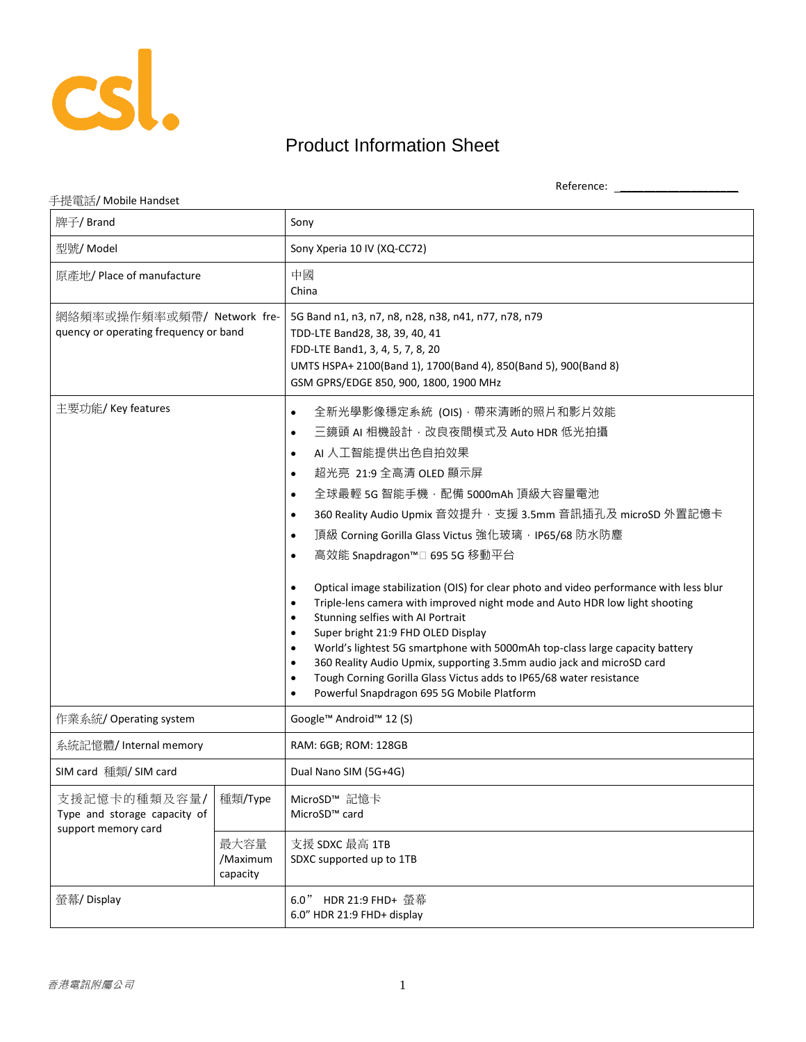

## Product Information Sheet

Reference: \_\_\_\_\_\_\_\_\_\_\_\_\_\_\_\_\_\_\_\_

## 手提電話/ Mobile Handset

| 牌子/ Brand                                                           |                              | Sony                                                                                                                                                                                                                                                                                                                                                                                                                                                                                                                                                                                                                                                                                                                                                                                                                                                                                                                                                                                                                                                        |
|---------------------------------------------------------------------|------------------------------|-------------------------------------------------------------------------------------------------------------------------------------------------------------------------------------------------------------------------------------------------------------------------------------------------------------------------------------------------------------------------------------------------------------------------------------------------------------------------------------------------------------------------------------------------------------------------------------------------------------------------------------------------------------------------------------------------------------------------------------------------------------------------------------------------------------------------------------------------------------------------------------------------------------------------------------------------------------------------------------------------------------------------------------------------------------|
| 型號/ Model                                                           |                              | Sony Xperia 10 IV (XQ-CC72)                                                                                                                                                                                                                                                                                                                                                                                                                                                                                                                                                                                                                                                                                                                                                                                                                                                                                                                                                                                                                                 |
| 原產地/ Place of manufacture                                           |                              | 中國<br>China                                                                                                                                                                                                                                                                                                                                                                                                                                                                                                                                                                                                                                                                                                                                                                                                                                                                                                                                                                                                                                                 |
| 網絡頻率或操作頻率或頻帶/ Network fre-<br>quency or operating frequency or band |                              | 5G Band n1, n3, n7, n8, n28, n38, n41, n77, n78, n79<br>TDD-LTE Band28, 38, 39, 40, 41<br>FDD-LTE Band1, 3, 4, 5, 7, 8, 20<br>UMTS HSPA+ 2100(Band 1), 1700(Band 4), 850(Band 5), 900(Band 8)<br>GSM GPRS/EDGE 850, 900, 1800, 1900 MHz                                                                                                                                                                                                                                                                                                                                                                                                                                                                                                                                                                                                                                                                                                                                                                                                                     |
| 主要功能/ Key features                                                  |                              | 全新光學影像穩定系統 (OIS) · 帶來清晰的照片和影片效能<br>$\bullet$<br>三鏡頭 AI 相機設計, 改良夜間模式及 Auto HDR 低光拍攝<br>$\bullet$<br>AI 人工智能提供出色自拍效果<br>$\bullet$<br>超光亮 21:9 全高清 OLED 顯示屏<br>$\bullet$<br>全球最輕 5G 智能手機, 配備 5000mAh 頂級大容量電池<br>$\bullet$<br>360 Reality Audio Upmix 音效提升, 支援 3.5mm 音訊插孔及 microSD 外置記憶卡<br>$\bullet$<br>頂級 Corning Gorilla Glass Victus 強化玻璃, IP65/68 防水防塵<br>$\bullet$<br>高效能 Snapdragon™□ 695 5G 移動平台<br>$\bullet$<br>Optical image stabilization (OIS) for clear photo and video performance with less blur<br>$\bullet$<br>Triple-lens camera with improved night mode and Auto HDR low light shooting<br>$\bullet$<br>Stunning selfies with AI Portrait<br>$\bullet$<br>Super bright 21:9 FHD OLED Display<br>$\bullet$<br>World's lightest 5G smartphone with 5000mAh top-class large capacity battery<br>$\bullet$<br>360 Reality Audio Upmix, supporting 3.5mm audio jack and microSD card<br>$\bullet$<br>Tough Corning Gorilla Glass Victus adds to IP65/68 water resistance<br>$\bullet$<br>Powerful Snapdragon 695 5G Mobile Platform<br>$\bullet$ |
| 作業系統/ Operating system                                              |                              | Google™ Android™ 12 (S)                                                                                                                                                                                                                                                                                                                                                                                                                                                                                                                                                                                                                                                                                                                                                                                                                                                                                                                                                                                                                                     |
| 系統記憶體/Internal memory                                               |                              | RAM: 6GB; ROM: 128GB                                                                                                                                                                                                                                                                                                                                                                                                                                                                                                                                                                                                                                                                                                                                                                                                                                                                                                                                                                                                                                        |
| SIM card 種類/ SIM card                                               |                              | Dual Nano SIM (5G+4G)                                                                                                                                                                                                                                                                                                                                                                                                                                                                                                                                                                                                                                                                                                                                                                                                                                                                                                                                                                                                                                       |
| 支援記憶卡的種類及容量/<br>Type and storage capacity of<br>support memory card | 種類/Type                      | MicroSD™ 記憶卡<br>MicroSD <sup>™</sup> card                                                                                                                                                                                                                                                                                                                                                                                                                                                                                                                                                                                                                                                                                                                                                                                                                                                                                                                                                                                                                   |
|                                                                     | 最大容量<br>/Maximum<br>capacity | 支援 SDXC 最高 1TB<br>SDXC supported up to 1TB                                                                                                                                                                                                                                                                                                                                                                                                                                                                                                                                                                                                                                                                                                                                                                                                                                                                                                                                                                                                                  |
| 螢幕/ Display                                                         |                              | 6.0" HDR 21:9 FHD+ 螢幕<br>6.0" HDR 21:9 FHD+ display                                                                                                                                                                                                                                                                                                                                                                                                                                                                                                                                                                                                                                                                                                                                                                                                                                                                                                                                                                                                         |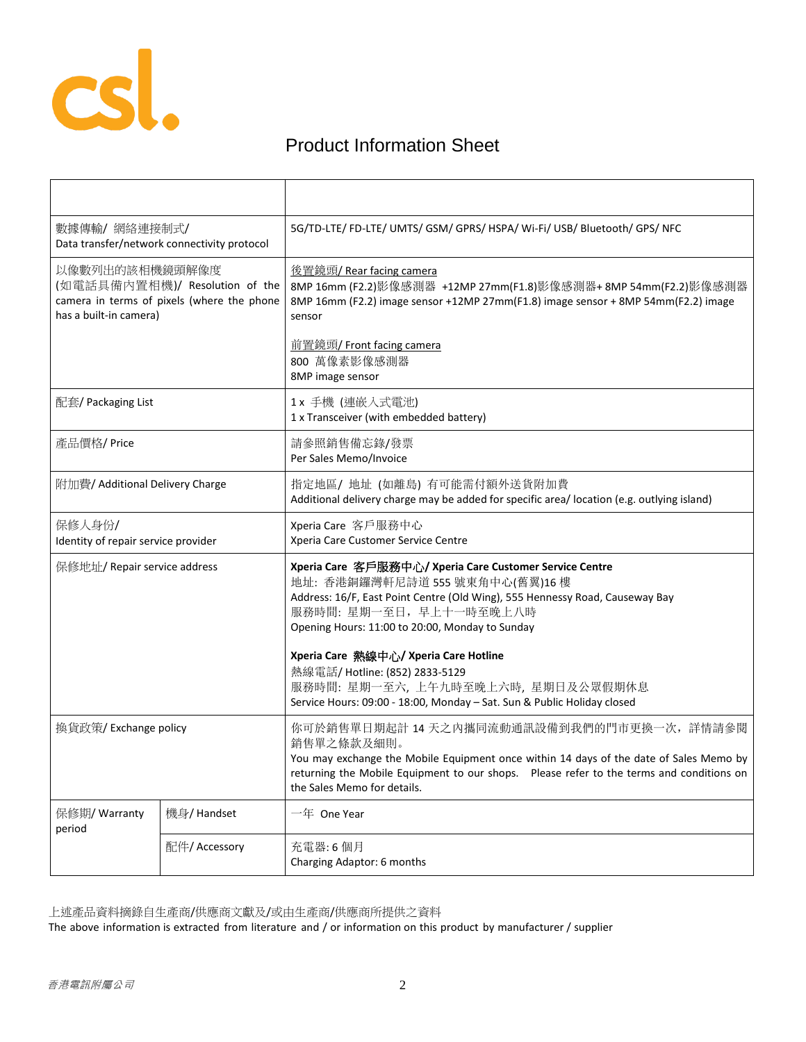

## Product Information Sheet

| 數據傳輸/網絡連接制式/<br>Data transfer/network connectivity protocol                                                              |               | 5G/TD-LTE/ FD-LTE/ UMTS/ GSM/ GPRS/ HSPA/ Wi-Fi/ USB/ Bluetooth/ GPS/ NFC                                                                                                                                                                                                                       |
|--------------------------------------------------------------------------------------------------------------------------|---------------|-------------------------------------------------------------------------------------------------------------------------------------------------------------------------------------------------------------------------------------------------------------------------------------------------|
| 以像數列出的該相機鏡頭解像度<br>(如電話具備內置相機)/ Resolution of the<br>camera in terms of pixels (where the phone<br>has a built-in camera) |               | <u> 後置鏡頭/ Rear facing camera</u><br>8MP 16mm (F2.2)影像感測器 +12MP 27mm(F1.8)影像感測器+8MP 54mm(F2.2)影像感測器<br>8MP 16mm (F2.2) image sensor +12MP 27mm (F1.8) image sensor +8MP 54mm (F2.2) image<br>sensor                                                                                              |
|                                                                                                                          |               | 前置鏡頭/ Front facing camera<br>800 萬像素影像感測器<br>8MP image sensor                                                                                                                                                                                                                                   |
| 配套/ Packaging List                                                                                                       |               | 1x 手機 (連嵌入式電池)<br>1 x Transceiver (with embedded battery)                                                                                                                                                                                                                                       |
| 產品價格/Price                                                                                                               |               | 請參照銷售備忘錄/發票<br>Per Sales Memo/Invoice                                                                                                                                                                                                                                                           |
| 附加費/ Additional Delivery Charge                                                                                          |               | 指定地區/ 地址 (如離島) 有可能需付額外送貨附加費<br>Additional delivery charge may be added for specific area/ location (e.g. outlying island)                                                                                                                                                                       |
| 保修人身份/<br>Identity of repair service provider                                                                            |               | Xperia Care 客戶服務中心<br>Xperia Care Customer Service Centre                                                                                                                                                                                                                                       |
| 保修地址/ Repair service address                                                                                             |               | Xperia Care 客戶服務中心/ Xperia Care Customer Service Centre<br>地址: 香港銅鑼灣軒尼詩道 555號東角中心(舊翼)16樓<br>Address: 16/F, East Point Centre (Old Wing), 555 Hennessy Road, Causeway Bay<br>服務時間: 星期一至日, 早上十一時至晚上八時<br>Opening Hours: 11:00 to 20:00, Monday to Sunday<br>Xperia Care 熱線中心/ Xperia Care Hotline |
|                                                                                                                          |               | 熱線電話/Hotline: (852) 2833-5129<br>服務時間: 星期一至六, 上午九時至晚上六時, 星期日及公眾假期休息<br>Service Hours: 09:00 - 18:00, Monday - Sat. Sun & Public Holiday closed                                                                                                                                                  |
| 換貨政策/ Exchange policy                                                                                                    |               | 你可於銷售單日期起計 14 天之内攜同流動通訊設備到我們的門市更換一次,詳情請參閱<br>銷售單之條款及細則。<br>You may exchange the Mobile Equipment once within 14 days of the date of Sales Memo by<br>returning the Mobile Equipment to our shops.  Please refer to the terms and conditions on<br>the Sales Memo for details.                   |
| 保修期/ Warranty<br>period                                                                                                  | 機身/ Handset   | 一年 One Year                                                                                                                                                                                                                                                                                     |
|                                                                                                                          | 配件/ Accessory | 充電器:6個月<br>Charging Adaptor: 6 months                                                                                                                                                                                                                                                           |
|                                                                                                                          |               |                                                                                                                                                                                                                                                                                                 |

上述產品資料摘錄自生產商/供應商文獻及/或由生產商/供應商所提供之資料

The above information is extracted from literature and / or information on this product by manufacturer / supplier